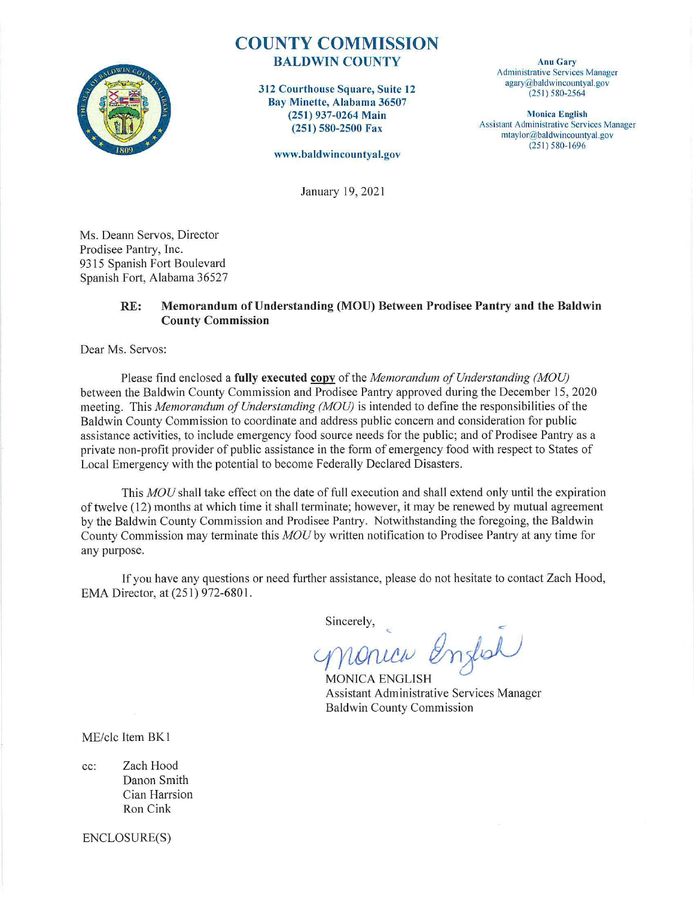

# **COUNTY COMMISSION**  BALDWIN COUNTY

312 Courthouse Square, Suite 12 Bay Minette, Alabama 36507 (251 ) 937-0264 Main (251) 580-2500 Fax

**www.baldwincountyal.gov** 

**Anu Gary**  Administrative Services Manager agary@baldwincountyal.gov  $(251) 580 - 2564$ 

**Monica English**  Assistant Administrative Services Manager mtaylor@baldwincountyal.gov  $(251) 580 - 1696$ 

January 19, 2021

Ms. Deann Servos, Director Prodisee Pantry, Inc. 9315 Spanish Fort Boulevard Spanish Fort, Alabama 36527

## **RE: Memorandum of Understanding (MOU) Between Prodisee Pantry and the Baldwin County Commission**

Dear Ms. Servos:

Please find enclosed a **fully executed copy** of the *Memorandum of Understanding (MOU)* between the Baldwin County Commission and Prodisee Pantry approved during the December 15, 2020 meeting. This *Memorandum of Understanding (MOU)* is intended to define the responsibilities of the Baldwin County Commission to coordinate and address public concern and consideration for public assistance activities, to include emergency food source needs for the public; and of Prodisee Pantry as a private non-profit provider of public assistance in the fonn of emergency food with respect to States of Local Emergency with the potential to become Federally Declared Disasters.

This *MOU* shall take effect on the date of full execution and shall extend only until the expiration of twelve (12) months at which time it shall terminate; however, it may be renewed by mutual agreement by the Baldwin County Commission and Prodisee Pantry. Notwithstanding the foregoing, the Baldwin County Commission may terminate this *MOU* by written notification to Prodisee Pantty at any time for any purpose.

If you have any questions or need further assistance, please do not hesitate to contact Zach Hood, EMA Director, at (251) 972-6801.

Sincerely,

English nonica

**MONICA ENGLISH** Assistant Administrative Services Manager Baldwin County Commission

ME/clc Item BK1

cc: Zach Hood Danon Smith Cian Harrsion Ron Cink

ENCLOSURE(S)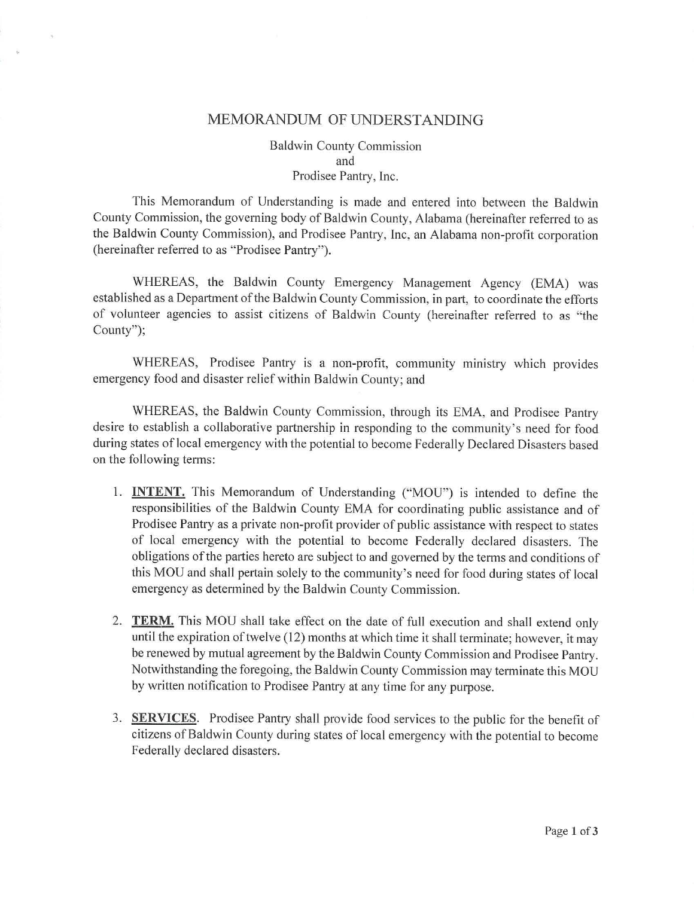# MEMORANDUM OF UNDERSTANDING

 $\tilde{\eta}_0$ 

Baldwin County Commission and Prodisee Pantry, Inc.

This Memorandum of Understanding is made and entered into between the Baldwin County Commission, the governing body of Baldwin County, Alabama (hereinafter referred to as the Baldwin County Commission), and Prodisee Pantry, Inc, an Alabama non-profit corporation (hereinafter referred to as "Prodisee Pantry").

WHEREAS, the Baldwin County Emergency Management Agency (EMA) was established as a Department of the Baldwin County Commission, in patt, to coordinate the efforts of volunteer agencies to assist citizens of Baldwin County (hereinafter referred to as "the County");

WHEREAS, Prodisee Pantry is a non-profit, community ministry which provides emergency food and disaster relief within Baldwin County; and

WHEREAS, the Baldwin County Commission, through its EMA, and Prodisee Pantry desire to establish a collaborative partnership in responding to the community's need for food during states of local emergency with the potential to become Federally Declared Disasters based on the following terms:

- 1. **INTENT.** This Memorandum of Understanding ("MOU") is intended to define the responsibilities of the Baldwin County EMA for coordinating public assistance and of Prodisee Pantry as a private non-profit provider of public assistance with respect to states of local emergency with the potential to become Federally declared disasters. The obligations of the parties hereto are subject to and governed by the terms and conditions of this MOU and shall pertain solely to the community's need for food during states of local emergency as determined by the Baldwin County Commission.
- 2. **TERM.** This MOU shall take effect on the date of full execution and shall extend only until the expiration of twelve (12) months at which time it shall terminate; however, it may be renewed by mutual agreement by the Baldwin County Commission and Prodisee Pantry. Notwithstanding the foregoing, the Baldwin County Commission may terminate this MOU by written notification to Prodisee Pantry at any time for any purpose.
- 3. **SERVICES.** Prodisee Pantry shall provide food services to the public for the benefit of citizens of Baldwin County during states of local emergency with the potential to become Federally declared disasters.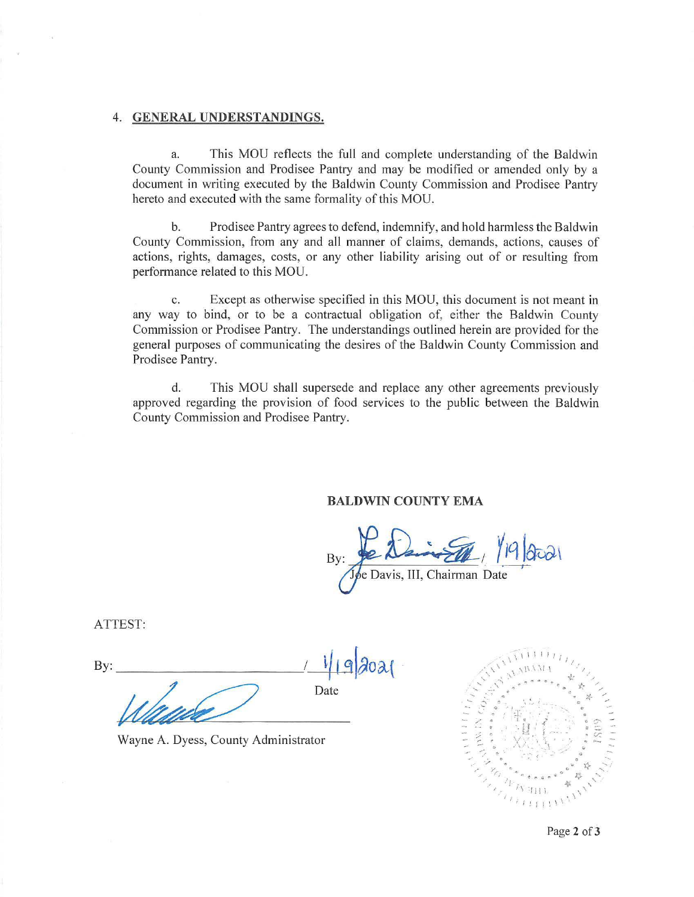#### 4. **GENERAL UNDERSTANDINGS.**

a. This MOU reflects the full and complete understanding of the Baldwin County Commission and Prodisee Pantry and may be modified or amended only by a document in writing executed by the Baldwin County Commission and Prodisee Pantry hereto and executed with the same formality of this MOU.

b. Prodisee Pantry agrees to defend, indemnify, and hold harmless the Baldwin County Commission, from any and all manner of claims, demands, actions, causes of actions, rights, damages, costs, or any other liability arising out of or resulting from performance related to this MOU.

c. Except as otherwise specified in this MOU, this document is not meant in any way to bind, or to be a contractual obligation of, either the Baldwin County Commission or Prodisee Pantry. The understandings outlined herein are provided for the general purposes of communicating the desires of the Baldwin County Commission and Prodisee Pantry.

d. This MOU shall supersede and replace any other agreements previously approved regarding the provision of food services to the public between the Baldwin County Commission and Prodisee Pantry.

### **BALDWIN COUNTY EMA**

 $B<sub>1</sub>$  $\frac{1}{\sqrt{2}}$ e Davis, III, Chairman Date

ATTEST:

 $By:$   $449202$ Date

Wayne A. Dyess, County Administrator



Page 2 of 3